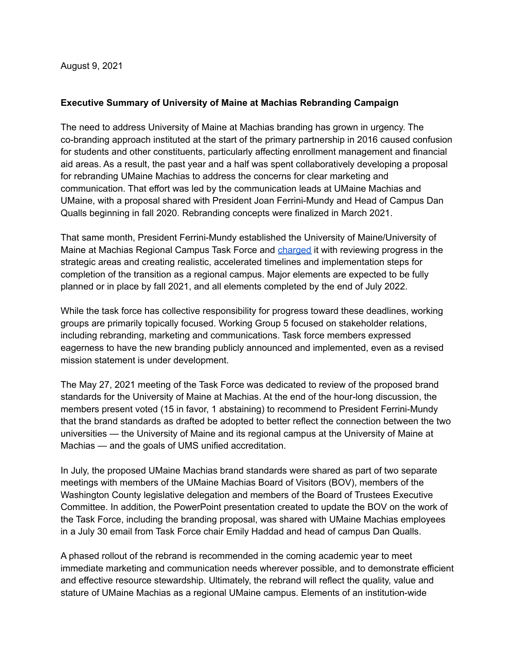August 9, 2021

## **Executive Summary of University of Maine at Machias Rebranding Campaign**

The need to address University of Maine at Machias branding has grown in urgency. The co-branding approach instituted at the start of the primary partnership in 2016 caused confusion for students and other constituents, particularly affecting enrollment management and financial aid areas. As a result, the past year and a half was spent collaboratively developing a proposal for rebranding UMaine Machias to address the concerns for clear marketing and communication. That effort was led by the communication leads at UMaine Machias and UMaine, with a proposal shared with President Joan Ferrini-Mundy and Head of Campus Dan Qualls beginning in fall 2020. Rebranding concepts were finalized in March 2021.

That same month, President Ferrini-Mundy established the University of Maine/University of Maine at Machias Regional Campus Task Force and [charged](https://umaine.edu/president/committees/university-of-maine-university-of-maine-at-machias-regional-campus-task-force/) it with reviewing progress in the strategic areas and creating realistic, accelerated timelines and implementation steps for completion of the transition as a regional campus. Major elements are expected to be fully planned or in place by fall 2021, and all elements completed by the end of July 2022.

While the task force has collective responsibility for progress toward these deadlines, working groups are primarily topically focused. Working Group 5 focused on stakeholder relations, including rebranding, marketing and communications. Task force members expressed eagerness to have the new branding publicly announced and implemented, even as a revised mission statement is under development.

The May 27, 2021 meeting of the Task Force was dedicated to review of the proposed brand standards for the University of Maine at Machias. At the end of the hour-long discussion, the members present voted (15 in favor, 1 abstaining) to recommend to President Ferrini-Mundy that the brand standards as drafted be adopted to better reflect the connection between the two universities — the University of Maine and its regional campus at the University of Maine at Machias — and the goals of UMS unified accreditation.

In July, the proposed UMaine Machias brand standards were shared as part of two separate meetings with members of the UMaine Machias Board of Visitors (BOV), members of the Washington County legislative delegation and members of the Board of Trustees Executive Committee. In addition, the PowerPoint presentation created to update the BOV on the work of the Task Force, including the branding proposal, was shared with UMaine Machias employees in a July 30 email from Task Force chair Emily Haddad and head of campus Dan Qualls.

A phased rollout of the rebrand is recommended in the coming academic year to meet immediate marketing and communication needs wherever possible, and to demonstrate efficient and effective resource stewardship. Ultimately, the rebrand will reflect the quality, value and stature of UMaine Machias as a regional UMaine campus. Elements of an institution-wide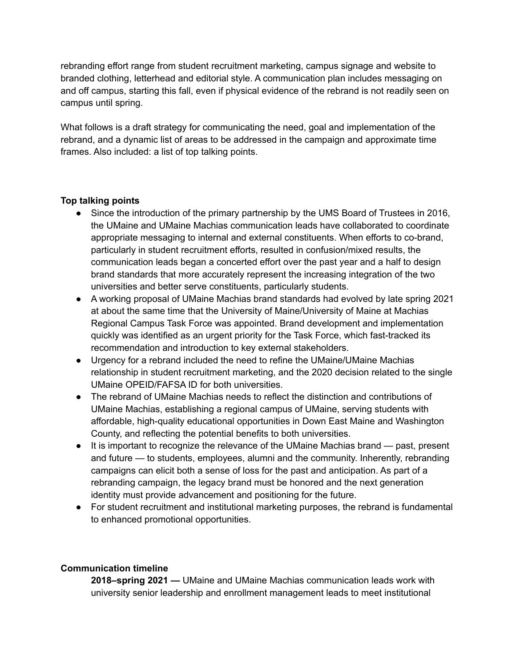rebranding effort range from student recruitment marketing, campus signage and website to branded clothing, letterhead and editorial style. A communication plan includes messaging on and off campus, starting this fall, even if physical evidence of the rebrand is not readily seen on campus until spring.

What follows is a draft strategy for communicating the need, goal and implementation of the rebrand, and a dynamic list of areas to be addressed in the campaign and approximate time frames. Also included: a list of top talking points.

## **Top talking points**

- Since the introduction of the primary partnership by the UMS Board of Trustees in 2016, the UMaine and UMaine Machias communication leads have collaborated to coordinate appropriate messaging to internal and external constituents. When efforts to co-brand, particularly in student recruitment efforts, resulted in confusion/mixed results, the communication leads began a concerted effort over the past year and a half to design brand standards that more accurately represent the increasing integration of the two universities and better serve constituents, particularly students.
- A working proposal of UMaine Machias brand standards had evolved by late spring 2021 at about the same time that the University of Maine/University of Maine at Machias Regional Campus Task Force was appointed. Brand development and implementation quickly was identified as an urgent priority for the Task Force, which fast-tracked its recommendation and introduction to key external stakeholders.
- Urgency for a rebrand included the need to refine the UMaine/UMaine Machias relationship in student recruitment marketing, and the 2020 decision related to the single UMaine OPEID/FAFSA ID for both universities.
- The rebrand of UMaine Machias needs to reflect the distinction and contributions of UMaine Machias, establishing a regional campus of UMaine, serving students with affordable, high-quality educational opportunities in Down East Maine and Washington County, and reflecting the potential benefits to both universities.
- It is important to recognize the relevance of the UMaine Machias brand past, present and future — to students, employees, alumni and the community. Inherently, rebranding campaigns can elicit both a sense of loss for the past and anticipation. As part of a rebranding campaign, the legacy brand must be honored and the next generation identity must provide advancement and positioning for the future.
- For student recruitment and institutional marketing purposes, the rebrand is fundamental to enhanced promotional opportunities.

## **Communication timeline**

**2018–spring 2021 —** UMaine and UMaine Machias communication leads work with university senior leadership and enrollment management leads to meet institutional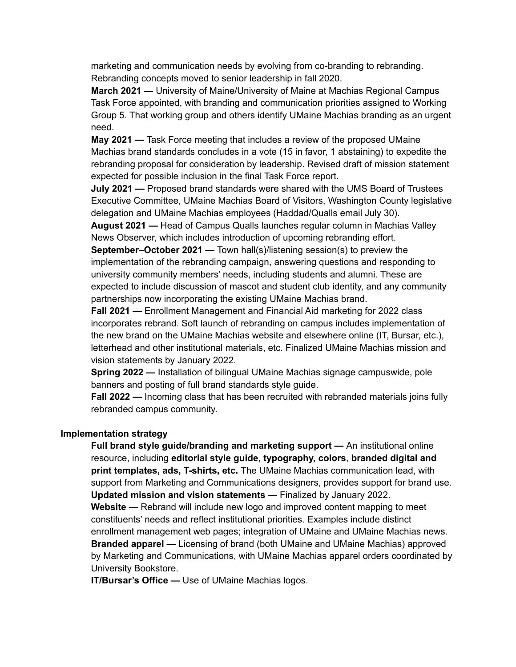marketing and communication needs by evolving from co-branding to rebranding. Rebranding concepts moved to senior leadership in fall 2020.

**March 2021 —** University of Maine/University of Maine at Machias Regional Campus Task Force appointed, with branding and communication priorities assigned to Working Group 5. That working group and others identify UMaine Machias branding as an urgent need.

**May 2021 —** Task Force meeting that includes a review of the proposed UMaine Machias brand standards concludes in a vote (15 in favor, 1 abstaining) to expedite the rebranding proposal for consideration by leadership. Revised draft of mission statement expected for possible inclusion in the final Task Force report.

**July 2021 —** Proposed brand standards were shared with the UMS Board of Trustees Executive Committee, UMaine Machias Board of Visitors, Washington County legislative delegation and UMaine Machias employees (Haddad/Qualls email July 30).

**August 2021 —** Head of Campus Qualls launches regular column in Machias Valley News Observer, which includes introduction of upcoming rebranding effort.

**September–October 2021 —** Town hall(s)/listening session(s) to preview the implementation of the rebranding campaign, answering questions and responding to university community members' needs, including students and alumni. These are expected to include discussion of mascot and student club identity, and any community partnerships now incorporating the existing UMaine Machias brand.

**Fall 2021 —** Enrollment Management and Financial Aid marketing for 2022 class incorporates rebrand. Soft launch of rebranding on campus includes implementation of the new brand on the UMaine Machias website and elsewhere online (IT, Bursar, etc.), letterhead and other institutional materials, etc. Finalized UMaine Machias mission and vision statements by January 2022.

**Spring 2022 —** Installation of bilingual UMaine Machias signage campuswide, pole banners and posting of full brand standards style guide.

**Fall 2022 —** Incoming class that has been recruited with rebranded materials joins fully rebranded campus community.

## **Implementation strategy**

**Full brand style guide/branding and marketing support —** An institutional online resource, including **editorial style guide, typography, colors**, **branded digital and print templates, ads, T-shirts, etc.** The UMaine Machias communication lead, with support from Marketing and Communications designers, provides support for brand use. **Updated mission and vision statements —** Finalized by January 2022.

**Website —** Rebrand will include new logo and improved content mapping to meet constituents' needs and reflect institutional priorities. Examples include distinct enrollment management web pages; integration of UMaine and UMaine Machias news. **Branded apparel —** Licensing of brand (both UMaine and UMaine Machias) approved by Marketing and Communications, with UMaine Machias apparel orders coordinated by University Bookstore.

**IT/Bursar's Office —** Use of UMaine Machias logos.